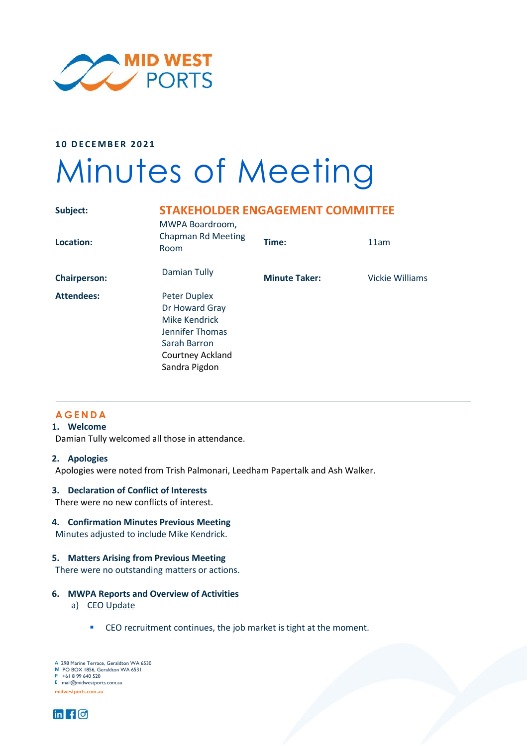

**10 DECEMBER 2021**

# Minutes of Meeting

| Subject:            | <b>STAKEHOLDER ENGAGEMENT COMMITTEE</b><br>MWPA Boardroom,                                                                     |                      |                 |
|---------------------|--------------------------------------------------------------------------------------------------------------------------------|----------------------|-----------------|
| Location:           | <b>Chapman Rd Meeting</b><br>Room                                                                                              | Time:                | 11am            |
| <b>Chairperson:</b> | Damian Tully                                                                                                                   | <b>Minute Taker:</b> | Vickie Williams |
| <b>Attendees:</b>   | <b>Peter Duplex</b><br>Dr Howard Gray<br>Mike Kendrick<br>Jennifer Thomas<br>Sarah Barron<br>Courtney Ackland<br>Sandra Pigdon |                      |                 |

# **AGENDA**

# **1. Welcome**

Damian Tully welcomed all those in attendance.

#### **2. Apologies**

Apologies were noted from Trish Palmonari, Leedham Papertalk and Ash Walker.

#### **3. Declaration of Conflict of Interests**

There were no new conflicts of interest.

## **4. Confirmation Minutes Previous Meeting**

Minutes adjusted to include Mike Kendrick.

#### **5. Matters Arising from Previous Meeting**

There were no outstanding matters or actions.

#### **6. MWPA Reports and Overview of Activities**

- a) CEO Update
	- **CEO** recruitment continues, the job market is tight at the moment.

**A** 298 Marine Terrace, Geraldton WA 6530 **M** PO BOX 1856, Geraldton WA 6531 **P** +61 8 99 640 520 **F** +61 8 99 640 555 **E** mail@midwestports.com.au **A** 298 Marine Terrace, Geraldton WA 653<br>**M** PO BOX 1856, Geraldton WA 6531<br>P +61 8 99 640 520

**midwestports.com.au midwestports.com.au**

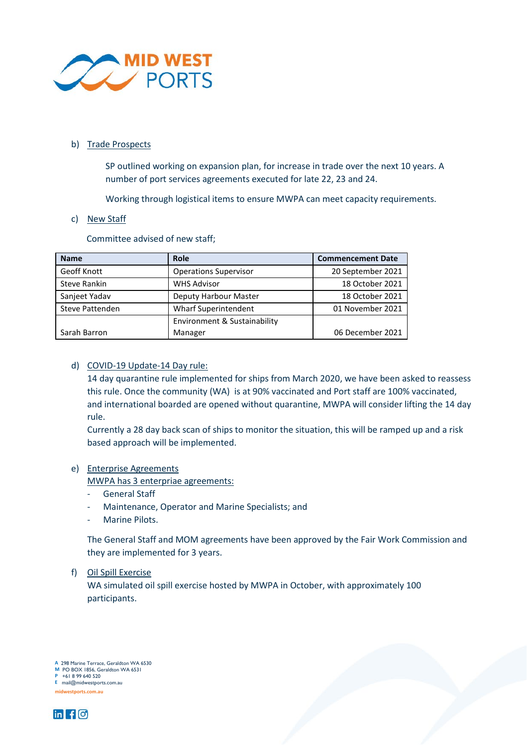

## b) Trade Prospects

SP outlined working on expansion plan, for increase in trade over the next 10 years. A number of port services agreements executed for late 22, 23 and 24.

Working through logistical items to ensure MWPA can meet capacity requirements.

## c) New Staff

Committee advised of new staff;

| <b>Name</b>         | Role                         | <b>Commencement Date</b> |
|---------------------|------------------------------|--------------------------|
| Geoff Knott         | <b>Operations Supervisor</b> | 20 September 2021        |
| <b>Steve Rankin</b> | <b>WHS Advisor</b>           | 18 October 2021          |
| Sanjeet Yadav       | Deputy Harbour Master        | 18 October 2021          |
| Steve Pattenden     | Wharf Superintendent         | 01 November 2021         |
|                     | Environment & Sustainability |                          |
| Sarah Barron        | Manager                      | 06 December 2021         |

## d) COVID-19 Update-14 Day rule:

14 day quarantine rule implemented for ships from March 2020, we have been asked to reassess this rule. Once the community (WA) is at 90% vaccinated and Port staff are 100% vaccinated, and international boarded are opened without quarantine, MWPA will consider lifting the 14 day rule.

Currently a 28 day back scan of ships to monitor the situation, this will be ramped up and a risk based approach will be implemented.

## e) Enterprise Agreements

MWPA has 3 enterpriae agreements:

- General Staff
- Maintenance, Operator and Marine Specialists; and
- Marine Pilots.

The General Staff and MOM agreements have been approved by the Fair Work Commission and they are implemented for 3 years.

## f) Oil Spill Exercise

WA simulated oil spill exercise hosted by MWPA in October, with approximately 100 participants.

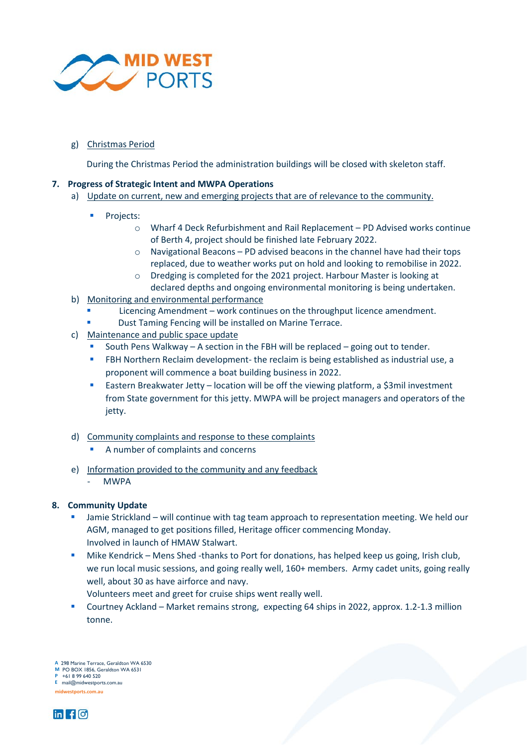

# g) Christmas Period

During the Christmas Period the administration buildings will be closed with skeleton staff.

## **7. Progress of Strategic Intent and MWPA Operations**

- a) Update on current, new and emerging projects that are of relevance to the community.
	- Projects:
		- o Wharf 4 Deck Refurbishment and Rail Replacement PD Advised works continue of Berth 4, project should be finished late February 2022.
		- o Navigational Beacons PD advised beacons in the channel have had their tops replaced, due to weather works put on hold and looking to remobilise in 2022.
		- o Dredging is completed for the 2021 project. Harbour Master is looking at declared depths and ongoing environmental monitoring is being undertaken.
- b) Monitoring and environmental performance
	- Licencing Amendment work continues on the throughput licence amendment.
	- Dust Taming Fencing will be installed on Marine Terrace.
- c) Maintenance and public space update
	- South Pens Walkway A section in the FBH will be replaced going out to tender.
	- FBH Northern Reclaim development- the reclaim is being established as industrial use, a proponent will commence a boat building business in 2022.
	- **Eastern Breakwater Jetty location will be off the viewing platform, a \$3mil investment** from State government for this jetty. MWPA will be project managers and operators of the jetty.
- d) Community complaints and response to these complaints
	- A number of complaints and concerns
- e) Information provided to the community and any feedback
	- MWPA

# **8. Community Update**

- Jamie Strickland will continue with tag team approach to representation meeting. We held our AGM, managed to get positions filled, Heritage officer commencing Monday. Involved in launch of HMAW Stalwart.
- Mike Kendrick Mens Shed -thanks to Port for donations, has helped keep us going, Irish club, we run local music sessions, and going really well, 160+ members. Army cadet units, going really well, about 30 as have airforce and navy.
	- Volunteers meet and greet for cruise ships went really well.
- Courtney Ackland Market remains strong, expecting 64 ships in 2022, approx. 1.2-1.3 million tonne.

**A** 298 Marine Terrace, Geraldton WA 6530 **A** 298 Marine M PO BOX 1856, Geraldton WA 6531 **P** +61 8 99 640 520 **F** +61 8 99 640 555 **P** +61 8 99 640 520 **E** mail@midwestports.com.au



**midwestports.com.au midwestports.com.au**